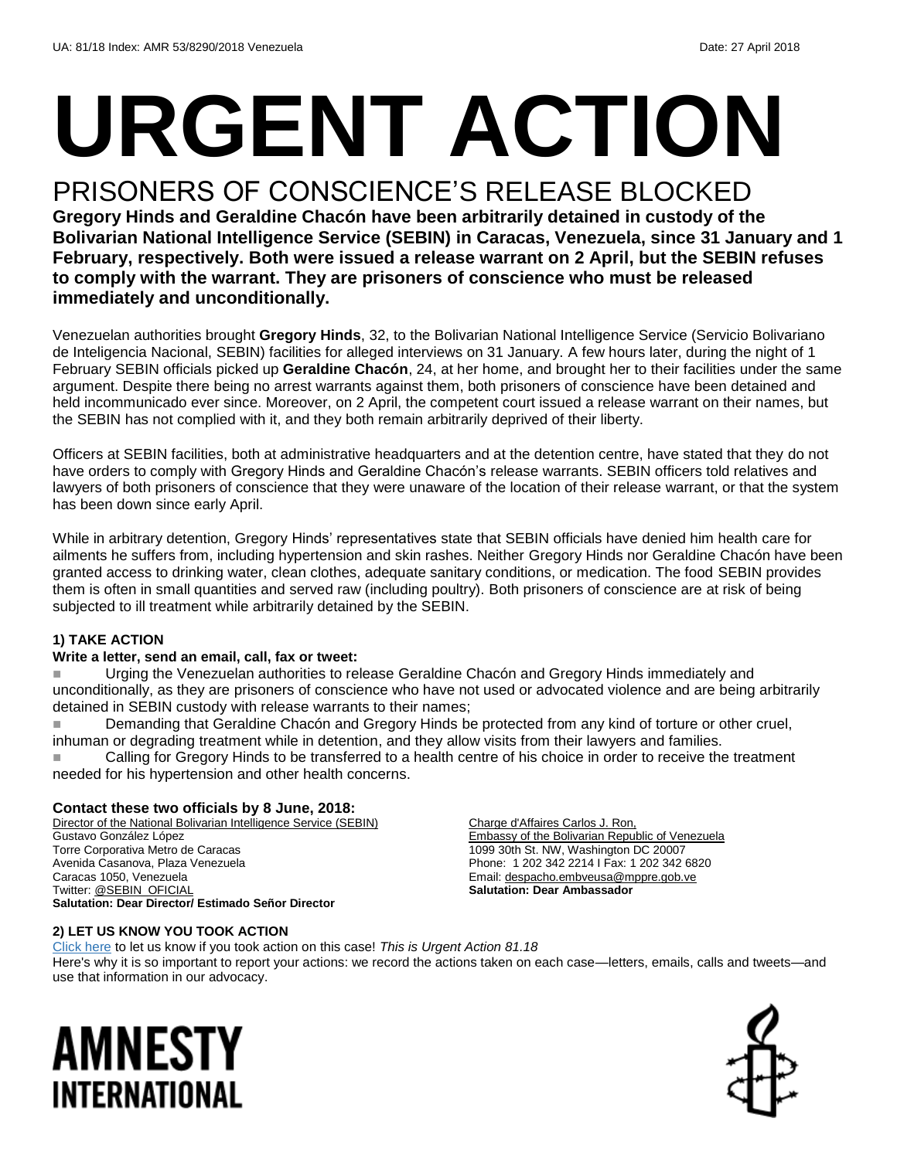# **URGENT ACTION**

## PRISONERS OF CONSCIENCE'S RELEASE BLOCKED

**Gregory Hinds and Geraldine Chacón have been arbitrarily detained in custody of the Bolivarian National Intelligence Service (SEBIN) in Caracas, Venezuela, since 31 January and 1 February, respectively. Both were issued a release warrant on 2 April, but the SEBIN refuses to comply with the warrant. They are prisoners of conscience who must be released immediately and unconditionally.**

Venezuelan authorities brought **Gregory Hinds**, 32, to the Bolivarian National Intelligence Service (Servicio Bolivariano de Inteligencia Nacional, SEBIN) facilities for alleged interviews on 31 January. A few hours later, during the night of 1 February SEBIN officials picked up **Geraldine Chacón**, 24, at her home, and brought her to their facilities under the same argument. Despite there being no arrest warrants against them, both prisoners of conscience have been detained and held incommunicado ever since. Moreover, on 2 April, the competent court issued a release warrant on their names, but the SEBIN has not complied with it, and they both remain arbitrarily deprived of their liberty.

Officers at SEBIN facilities, both at administrative headquarters and at the detention centre, have stated that they do not have orders to comply with Gregory Hinds and Geraldine Chacón's release warrants. SEBIN officers told relatives and lawyers of both prisoners of conscience that they were unaware of the location of their release warrant, or that the system has been down since early April.

While in arbitrary detention, Gregory Hinds' representatives state that SEBIN officials have denied him health care for ailments he suffers from, including hypertension and skin rashes. Neither Gregory Hinds nor Geraldine Chacón have been granted access to drinking water, clean clothes, adequate sanitary conditions, or medication. The food SEBIN provides them is often in small quantities and served raw (including poultry). Both prisoners of conscience are at risk of being subjected to ill treatment while arbitrarily detained by the SEBIN.

#### **1) TAKE ACTION**

#### **Write a letter, send an email, call, fax or tweet:**

 Urging the Venezuelan authorities to release Geraldine Chacón and Gregory Hinds immediately and unconditionally, as they are prisoners of conscience who have not used or advocated violence and are being arbitrarily detained in SEBIN custody with release warrants to their names;

 Demanding that Geraldine Chacón and Gregory Hinds be protected from any kind of torture or other cruel, inhuman or degrading treatment while in detention, and they allow visits from their lawyers and families.

 Calling for Gregory Hinds to be transferred to a health centre of his choice in order to receive the treatment needed for his hypertension and other health concerns.

#### **Contact these two officials by 8 June, 2018:**

Director of the National Bolivarian Intelligence Service (SEBIN) Gustavo González López Torre Corporativa Metro de Caracas Avenida Casanova, Plaza Venezuela Caracas 1050, Venezuela Twitter[: @SEBIN\\_OFICIAL](file:///C:/Users/iar3team/AppData/Local/Microsoft/Windows/INetCache/Content.Outlook/47QF1R6R/twitter.com/SEBIN_OFICIAL) **Salutation: Dear Director/ Estimado Señor Director**

Charge d'Affaires Carlos J. Ron, Embassy of the Bolivarian Republic of Venezuela 1099 30th St. NW, Washington DC 20007 Phone: 1 202 342 2214 I Fax: 1 202 342 6820 Email[: despacho.embveusa@mppre.gob.ve](mailto:despacho.embveusa@mppre.gob.ve) **Salutation: Dear Ambassador**

#### **2) LET US KNOW YOU TOOK ACTION**

[Click here](https://www.amnestyusa.org/report-urgent-actions/) to let us know if you took action on this case! *This is Urgent Action 81.18* Here's why it is so important to report your actions: we record the actions taken on each case—letters, emails, calls and tweets—and use that information in our advocacy.

## AMNESTY INTERNATIONAL